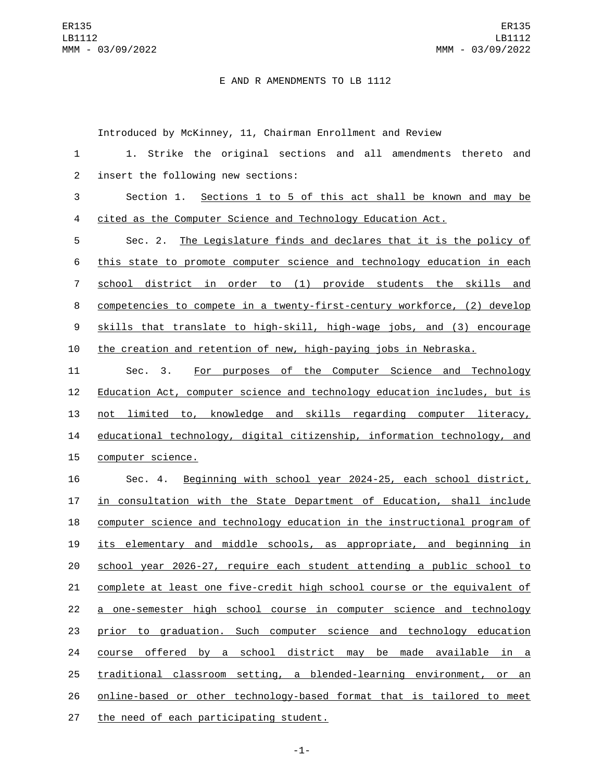## E AND R AMENDMENTS TO LB 1112

Introduced by McKinney, 11, Chairman Enrollment and Review

| $\mathbf{1}$   | Strike the original sections and all amendments thereto<br>1.<br>and      |
|----------------|---------------------------------------------------------------------------|
| $\overline{2}$ | insert the following new sections:                                        |
| 3              | Section 1. Sections 1 to 5 of this act shall be known and may be          |
| 4              | cited as the Computer Science and Technology Education Act.               |
| 5              | Sec. 2. The Legislature finds and declares that it is the policy of       |
| 6              | this state to promote computer science and technology education in each   |
| 7              | school district in order to (1) provide students the skills and           |
| 8              | competencies to compete in a twenty-first-century workforce, (2) develop  |
| 9              | skills that translate to high-skill, high-wage jobs, and (3) encourage    |
| 10             | the creation and retention of new, high-paying jobs in Nebraska.          |
| 11             | For purposes of the Computer Science and Technology<br>Sec. 3.            |
| 12             | Education Act, computer science and technology education includes, but is |
| 13             | not limited to, knowledge and skills regarding computer literacy,         |
| 14             | educational technology, digital citizenship, information technology, and  |
| 15             | computer science.                                                         |
| 16             | Sec. 4. Beginning with school year 2024-25, each school district,         |
| 17             | in consultation with the State Department of Education, shall include     |
| 18             | computer science and technology education in the instructional program of |
| 19             | its elementary and middle schools, as appropriate, and beginning in       |
| 20             | school year 2026-27, require each student attending a public school to    |
| 21             | complete at least one five-credit high school course or the equivalent of |
| 22             | a one-semester high school course in computer science and technology      |
| 23             | prior to graduation. Such computer science and technology education       |
| 24             | course offered by a school district may be made available in a            |
| 25             | traditional classroom setting, a blended-learning environment, or an      |
| 26             | online-based or other technology-based format that is tailored to meet    |
| 27             | the need of each participating student.                                   |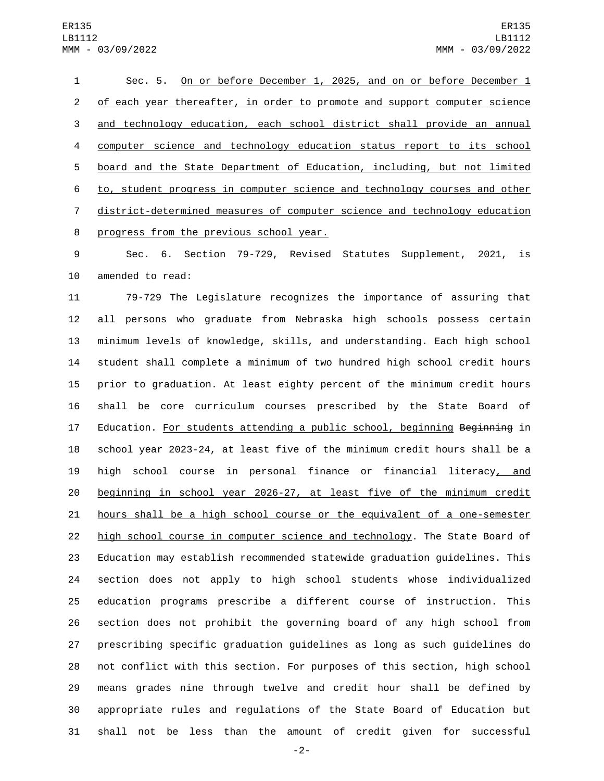Sec. 5. On or before December 1, 2025, and on or before December 1 of each year thereafter, in order to promote and support computer science and technology education, each school district shall provide an annual computer science and technology education status report to its school board and the State Department of Education, including, but not limited to, student progress in computer science and technology courses and other district-determined measures of computer science and technology education 8 progress from the previous school year.

 Sec. 6. Section 79-729, Revised Statutes Supplement, 2021, is 10 amended to read:

 79-729 The Legislature recognizes the importance of assuring that all persons who graduate from Nebraska high schools possess certain minimum levels of knowledge, skills, and understanding. Each high school student shall complete a minimum of two hundred high school credit hours prior to graduation. At least eighty percent of the minimum credit hours shall be core curriculum courses prescribed by the State Board of 17 Education. For students attending a public school, beginning Beginning in school year 2023-24, at least five of the minimum credit hours shall be a high school course in personal finance or financial literacy, and beginning in school year 2026-27, at least five of the minimum credit hours shall be a high school course or the equivalent of a one-semester high school course in computer science and technology. The State Board of Education may establish recommended statewide graduation guidelines. This section does not apply to high school students whose individualized education programs prescribe a different course of instruction. This section does not prohibit the governing board of any high school from prescribing specific graduation guidelines as long as such guidelines do not conflict with this section. For purposes of this section, high school means grades nine through twelve and credit hour shall be defined by appropriate rules and regulations of the State Board of Education but shall not be less than the amount of credit given for successful

-2-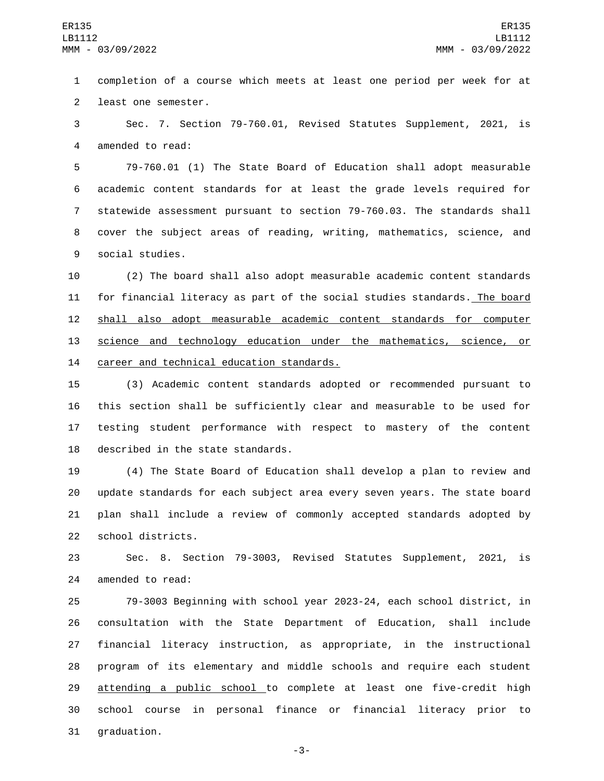1 completion of a course which meets at least one period per week for at 2 least one semester.

3 Sec. 7. Section 79-760.01, Revised Statutes Supplement, 2021, is 4 amended to read:

 79-760.01 (1) The State Board of Education shall adopt measurable academic content standards for at least the grade levels required for statewide assessment pursuant to section 79-760.03. The standards shall cover the subject areas of reading, writing, mathematics, science, and 9 social studies.

10 (2) The board shall also adopt measurable academic content standards 11 for financial literacy as part of the social studies standards. The board 12 shall also adopt measurable academic content standards for computer 13 science and technology education under the mathematics, science, or 14 career and technical education standards.

 (3) Academic content standards adopted or recommended pursuant to this section shall be sufficiently clear and measurable to be used for testing student performance with respect to mastery of the content 18 described in the state standards.

 (4) The State Board of Education shall develop a plan to review and update standards for each subject area every seven years. The state board plan shall include a review of commonly accepted standards adopted by 22 school districts.

23 Sec. 8. Section 79-3003, Revised Statutes Supplement, 2021, is 24 amended to read:

 79-3003 Beginning with school year 2023-24, each school district, in consultation with the State Department of Education, shall include financial literacy instruction, as appropriate, in the instructional program of its elementary and middle schools and require each student 29 attending a public school to complete at least one five-credit high school course in personal finance or financial literacy prior to 31 graduation.

-3-